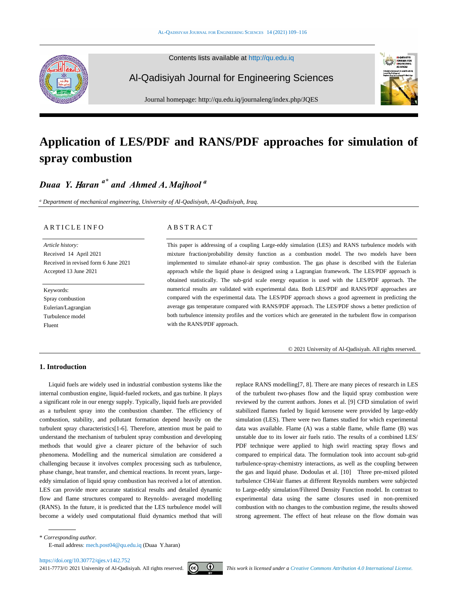Contents lists available at [http://qu.edu.iq](http://qu.edu.iq/)

Al-Qadisiyah Journal for Engineering Sciences

Journal homepage: http://qu.edu.iq/journaleng/index.php/JQES

# **Application of LES/PDF and RANS/PDF approaches for simulation of spray combustion**

## *Duaa Y.* H*aran a\* and Ahmed A*. *Majhool <sup>a</sup>*

*<sup>a</sup> Department of mechanical engineering, University of Al-Qadisiyah, Al-Qadisiyah, Iraq.*

## ARTICLE INFO

*Article history:* Received 14 April 2021 Received in revised form 6 June 2021 Accepted 13 June 2021

Keywords: Spray combustion Eulerian/Lagrangian Turbulence model Fluent

## **ABSTRACT**

This paper is addressing of a coupling Large-eddy simulation (LES) and RANS turbulence models with mixture fraction/probability density function as a combustion model. The two models have been implemented to simulate ethanol-air spray combustion. The gas phase is described with the Eulerian approach while the liquid phase is designed using a Lagrangian framework. The LES/PDF approach is obtained statistically. The sub-grid scale energy equation is used with the LES/PDF approach. The numerical results are validated with experimental data. Both LES/PDF and RANS/PDF approaches are compared with the experimental data. The LES/PDF approach shows a good agreement in predicting the average gas temperature compared with RANS/PDF approach. The LES/PDF shows a better prediction of both turbulence intensity profiles and the vortices which are generated in the turbulent flow in comparison with the RANS/PDF approach.

© 2021 University of Al-Qadisiyah. All rights reserved.

## **1. Introduction**

Liquid fuels are widely used in industrial combustion systems like the internal combustion engine, liquid-fueled rockets, and gas turbine. It plays a significant role in our energy supply. Typically, liquid fuels are provided as a turbulent spray into the combustion chamber. The efficiency of combustion, stability, and pollutant formation depend heavily on the turbulent spray characteristics[\[1-6\].](#page-7-0) Therefore, attention must be paid to understand the mechanism of turbulent spray combustion and developing methods that would give a clearer picture of the behavior of such phenomena. Modelling and the numerical simulation are considered a challenging because it involves complex processing such as turbulence, phase change, heat transfer, and chemical reactions. In recent years, largeeddy simulation of liquid spray combustion has received a lot of attention. LES can provide more accurate statistical results and detailed dynamic flow and flame structures compared to Reynolds- averaged modelling (RANS). In the future, it is predicted that the LES turbulence model will become a widely used computational fluid dynamics method that will

replace RANS modelling[\[7,](#page-7-1) [8\]](#page-7-2). There are many pieces of research in LES of the turbulent two-phases flow and the liquid spray combustion were reviewed by the current authors. Jones et al. [\[9\]](#page-7-3) CFD simulation of swirl stabilized flames fueled by liquid kerosene were provided by large-eddy simulation (LES). There were two flames studied for which experimental data was available. Flame (A) was a stable flame, while flame (B) was unstable due to its lower air fuels ratio. The results of a combined LES/ PDF technique were applied to high swirl reacting spray flows and compared to empirical data. The formulation took into account sub-grid turbulence-spray-chemistry interactions, as well as the coupling between the gas and liquid phase. Dodoulas et al. [\[10\]](#page-7-4) Three pre-mixed piloted turbulence CH4/air flames at different Reynolds numbers were subjected to Large-eddy simulation/Filtered Density Function model. In contrast to experimental data using the same closures used in non-premixed combustion with no changes to the combustion regime, the results showed strong agreement. The effect of heat release on the flow domain was

\* *Corresponding author.*

E-mail address[: mech.post04@qu.edu.iq](mailto:mech.post04@qu.edu.iq) (Duaa Y.haran)



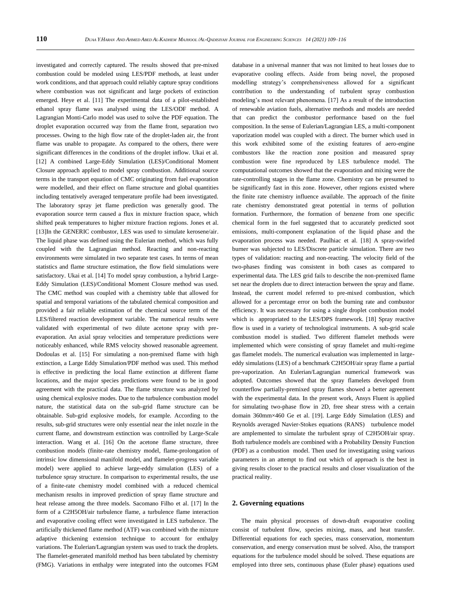investigated and correctly captured. The results showed that pre-mixed combustion could be modeled using LES/PDF methods, at least under work conditions, and that approach could reliably capture spray conditions where combustion was not significant and large pockets of extinction emerged. Heye et al. [\[11\]](#page-7-5) The experimental data of a pilot-established ethanol spray flame was analysed using the LES/ODF method. A Lagrangian Monti-Carlo model was used to solve the PDF equation. The droplet evaporation occurred way from the flame front, separation two processes. Owing to the high flow rate of the droplet-laden air, the front flame was unable to propagate. As compared to the others, there were significant differences in the conditions of the droplet inflow. Ukai et al. [\[12\]](#page-7-6) A combined Large-Eddy Simulation (LES)/Conditional Moment Closure approach applied to model spray combustion. Additional source terms in the transport equation of CMC originating from fuel evaporation were modelled, and their effect on flame structure and global quantities including tentatively averaged temperature profile had been investigated. The laboratory spray jet flame prediction was generally good. The evaporation source term caused a flux in mixture fraction space, which shifted peak temperatures to higher mixture fraction regions. Jones et al. [\[13\]](#page-7-7)In the GENERIC combustor, LES was used to simulate kerosene/air. The liquid phase was defined using the Eulerian method, which was fully coupled with the Lagrangian method. Reacting and non-reacting environments were simulated in two separate test cases. In terms of mean statistics and flame structure estimation, the flow field simulations were satisfactory. Ukai et al. [\[14\]](#page-7-8) To model spray combustion, a hybrid Large-Eddy Simulation (LES)/Conditional Moment Closure method was used. The CMC method was coupled with a chemistry table that allowed for spatial and temporal variations of the tabulated chemical composition and provided a fair reliable estimation of the chemical source term of the LES/filtered reaction development variable. The numerical results were validated with experimental of two dilute acetone spray with preevaporation. An axial spray velocities and temperature predictions were noticeably enhanced, while RMS velocity showed reasonable agreement. Dodoulas et al. [\[15\]](#page-7-9) For simulating a non-premixed flame with high extinction, a Large Eddy Simulation/PDF method was used. This method is effective in predicting the local flame extinction at different flame locations, and the major species predictions were found to be in good agreement with the practical data. The flame structure was analyzed by using chemical explosive modes. Due to the turbulence combustion model nature, the statistical data on the sub-grid flame structure can be obtainable. Sub-grid explosive models, for example. According to the results, sub-grid structures were only essential near the inlet nozzle in the current flame, and downstream extinction was controlled by Large-Scale interaction. Wang et al. [\[16\]](#page-7-10) On the acetone flame structure, three combustion models (finite-rate chemistry model, flame-prolongation of intrinsic low dimensional manifold model, and flamelet-progress variable model) were applied to achieve large-eddy simulation (LES) of a turbulence spray structure. In comparison to experimental results, the use of a finite-rate chemistry model combined with a reduced chemical mechanism results in improved prediction of spray flame structure and heat release among the three models. Sacomano Filho et al. [\[17\]](#page-7-11) In the form of a C2H5OH/air turbulence flame, a turbulence flame interaction and evaporative cooling effect were investigated in LES turbulence. The artificially thickened flame method (ATF) was combined with the mixture adaptive thickening extension technique to account for enthalpy variations. The Eulerian/Lagrangian system was used to track the droplets. The flamelet-generated manifold method has been tabulated by chemistry (FMG). Variations in enthalpy were integrated into the outcomes FGM

database in a universal manner that was not limited to heat losses due to evaporative cooling effects. Aside from being novel, the proposed modelling strategy's comprehensiveness allowed for a significant contribution to the understanding of turbulent spray combustion modeling's most relevant phenomena. [\[17\]](#page-7-11) As a result of the introduction of renewable aviation fuels, alternative methods and models are needed that can predict the combustor performance based on the fuel composition. In the sense of Eulerian/Lagrangian LES, a multi-component vaporization model was coupled with a direct. The burner which used in this work exhibited some of the existing features of aero-engine combustors like the reaction zone position and measured spray combustion were fine reproduced by LES turbulence model. The computational outcomes showed that the evaporation and mixing were the rate-controlling stages in the flame zone. Chemistry can be presumed to be significantly fast in this zone. However, other regions existed where the finite rate chemistry influence available. The approach of the finite rate chemistry demonstrated great potential in terms of pollution formation. Furthermore, the formation of benzene from one specific chemical form in the fuel suggested that to accurately predicted soot emissions, multi-component explanation of the liquid phase and the evaporation process was needed. Paulhiac et al. [\[18\]](#page-7-12) A spray-swirled burner was subjected to LES/Discrete particle simulation. There are two types of validation: reacting and non-reacting. The velocity field of the two-phases finding was consistent in both cases as compared to experimental data. The LES grid fails to describe the non-premixed flame set near the droplets due to direct interaction between the spray and flame. Instead, the current model referred to pre-mixed combustion, which allowed for a percentage error on both the burning rate and combustor efficiency. It was necessary for using a single droplet combustion model which is appropriated to the LES/DPS framework. [\[18\]](#page-7-12) Spray reactive flow is used in a variety of technological instruments. A sub-grid scale combustion model is studied. Two different flamelet methods were implemented which were consisting of spray flamelet and multi-regime gas flamelet models. The numerical evaluation was implemented in largeeddy simulations (LES) of a benchmark C2H5OH/air spray flame a partial pre-vaporization. An Eulerian/Lagrangian numerical framework was adopted. Outcomes showed that the spray flamelets developed from counterflow partially-premixed spray flames showed a better agreement with the experimental data. In the present work, Ansys Fluent is applied for simulating two-phase flow in 2D, free shear stress with a certain domain 360mm×460 Ge et al. [\[19\]](#page-7-13). Large Eddy Simulation (LES) and Reynolds averaged Navier-Stokes equations (RANS) turbulence model are amplemented to simulate the turbulent spray of C2H5OH/air spray. Both turbulence models are combined with a Probability Density Function (PDF) as a combustion model. Then used for investigating using various parameters in an attempt to find out which of approach is the best in giving results closer to the practical results and closer visualization of the practical reality.

## **2. Governing equations**

The main physical processes of down-draft evaporative cooling consist of turbulent flow, species mixing, mass, and heat transfer. Differential equations for each species, mass conservation, momentum conservation, and energy conservation must be solved. Also, the transport equations for the turbulence model should be solved. These equations are employed into three sets, continuous phase (Euler phase) equations used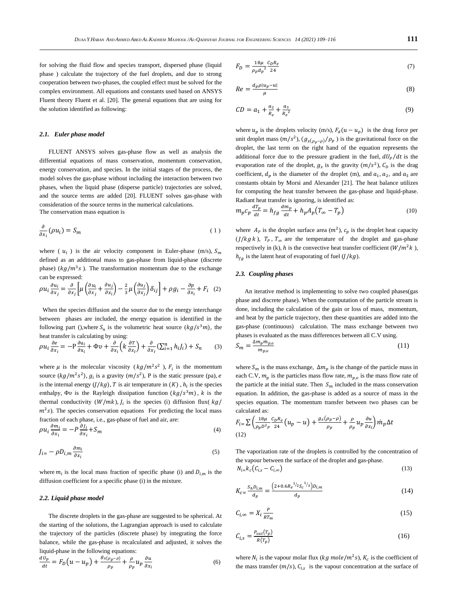for solving the fluid flow and species transport, dispersed phase (liquid phase ) calculate the trajectory of the fuel droplets, and due to strong cooperation between two-phases, the coupled effect must be solved for the complex environment. All equations and constants used based on ANSYS Fluent theory Fluent et al. [\[20\]](#page-7-14). The general equations that are using for the solution identified as following:

#### *2.1. Euler phase model*

FLUENT ANSYS solves gas-phase flow as well as analysis the differential equations of mass conservation, momentum conservation, energy conservation, and species. In the initial stages of the process, the model solves the gas-phase without including the interaction between two phases, when the liquid phase (disperse particle) trajectories are solved, and the source terms are added [\[20\]](#page-7-14). FLUENT solves gas-phase with consideration of the source terms in the numerical calculations. The conservation mass equation is

$$
\frac{\partial}{\partial x_i}(\rho u_i) = S_m \tag{1}
$$

where ( $u_i$ ) is the air velocity component in Euler-phase (m/s),  $S_m$ defined as an additional mass to gas-phase from liquid-phase (discrete phase) ( $kg/m<sup>3</sup>s$ ). The transformation momentum due to the exchange can be expressed:

$$
\rho u_i \frac{\partial u_i}{\partial x_j} = \frac{\partial}{\partial x_j} \left[ \mu \left( \frac{\partial u_i}{\partial x_j} + \frac{\partial u_j}{\partial x_i} \right) - \frac{2}{3} \mu \left( \frac{\partial u_j}{\partial x_j} \right) \delta_{ij} \right] + \rho g_i - \frac{\partial p}{\partial x_i} + F_i \quad (2)
$$

 When the species diffusion and the source due to the energy interchange between phases are included, the energy equation is identified in the following part (), where  $S_n$  is the volumetric heat source  $(kg/s^3m)$ , the heat transfer is calculating by using:

$$
\rho u_i \frac{\partial e}{\partial x_i} = -P \frac{\partial u_i}{\partial x_i} + \Phi v + \frac{\partial}{\partial x_i} \left( k \frac{\partial T}{\partial x_i} \right) + \frac{\partial}{\partial x_i} \left( \sum_{i=1}^n h_i J_i \right) + S_n \tag{3}
$$

where  $\mu$  is the molecular viscosity ( $kg/m^2s^2$ ),  $F_i$  is the momentum source  $(kg/m^2s^2)$ ,  $g_i$  is a gravity  $(m/s^2)$ , P is the static pressure (pa), e is the internal energy  $(J/kg)$ , T is air temperature in  $(K)$ ,  $h_i$  is the species enthalpy,  $\Phi v$  is the Rayleigh dissipation function  $(kg/s^3m)$ , k is the thermal conductivity  $(W/mk)$ ,  $J_i$  is the species (i) diffusion flux( $kg/$  $m^2$ s). The species conservation equations For predicting the local mass fraction of each phase, i.e., gas-phase of fuel and air, are:

$$
\rho u_i \frac{\partial m_i}{\partial x_i} = -P \frac{\partial J_i}{\partial x_i} + S_m \tag{4}
$$

$$
J_{i} = -\rho D_{i,m} \frac{\partial m_i}{\partial x_i} \tag{5}
$$

where  $m_i$  is the local mass fraction of specific phase (i) and  $D_{i,m}$  is the diffusion coefficient for a specific phase (i) in the mixture.

#### *2.2. Liquid phase model*

The discrete droplets in the gas-phase are suggested to be spherical. At the starting of the solutions, the Lagrangian approach is used to calculate the trajectory of the particles (discrete phase) by integrating the force balance, while the gas-phase is recalculated and adjusted, it solves the liquid-phase in the following equations:

$$
\frac{d\dot{v}_p}{dt} = F_D(u - u_p) + \frac{g_{x(\rho_p - \rho)}}{\rho_p} + \frac{\rho}{\rho_p} u_p \frac{\partial u}{\partial x_i}
$$
(6)

$$
F_D = \frac{18\mu}{\rho_p d_p^2} \frac{c_D R_e}{24} \tag{7}
$$

$$
Re = \frac{d_p \rho |u_p - u|}{\mu} \tag{8}
$$

$$
CD = a_1 + \frac{a_2}{R_e} + \frac{a_3}{R_e^2}
$$
 (9)

where  $u_p$  is the droplets velocity (m/s),  $F_d(u - u_p)$  is the drag force per unit droplet mass  $(m/s^2)$ ,  $(g_{x(\rho_p - \rho)}/\rho_p)$  is the gravitational force on the droplet, the last term on the right hand of the equation represents the additional force due to the pressure gradient in the fuel,  $dU_p/dt$  is the evaporation rate of the droplet,  $g_x$  is the gravity  $(m/s^2)$ ,  $C_p$  is the drag coefficient,  $d_p$  is the diameter of the droplet (m), and  $a_1$ ,  $a_2$ , and  $a_3$  are constants obtain by Morsi and Alexander [\[21\]](#page-7-15). The heat balance utilizes for computing the heat transfer between the gas-phase and liquid-phase. Radiant heat transfer is ignoring, is identified as:

$$
m_p c_p \frac{dT_p}{dt} = h_{fg} \frac{dm_p}{dt} + h_p A_p (T_\infty - T_p)
$$
\n(10)

where  $A_p$  is the droplet surface area  $(m^2)$ ,  $c_p$  is the droplet heat capacity  $(J/kg k)$ ,  $T_p$ ,  $T_{\infty}$  are the temperature of the droplet and gas-phase respectively in (k), h is the convective heat transfer coefficient ( $W/m^2k$ ),  $h_{fa}$  is the latent heat of evaporating of fuel (*J*/*kg*).

## *2.3. Coupling phases*

An iterative method is implementing to solve two coupled phases(gas phase and discrete phase). When the computation of the particle stream is done, including the calculation of the gain or loss of mass, momentum, and heat by the particle trajectory, then these quantities are added into the gas-phase (continuous) calculation. The mass exchange between two phases is evaluated as the mass differences between all C.V using.

$$
S_m = \frac{\Delta m_p m_{p,o}}{m_{p,o}}\tag{11}
$$

where  $S_m$  is the mass exchange,  $\Delta m_p$  is the change of the particle mass in each C.V,  $m_p$  is the particles mass flow rate,  $m_{p,o}$  is the mass flow rate of the particle at the initial state. Then  $S_m$  included in the mass conservation equation. In addition, the gas-phase is added as a source of mass in the species equation. The momentum transfer between two phases can be calculated as:

$$
F_{i} = \sum \left( \frac{18\mu}{\rho_p D^2 P} \frac{c_D R_e}{24} \left( u_p - u \right) + \frac{g_x(\rho_p - \rho)}{\rho_p} + \frac{\rho}{\rho_p} u_p \frac{\partial u}{\partial x_i} \right) \dot{m}_p \Delta t
$$
\n(12)

The vaporization rate of the droplets is controlled by the concentration of the vapour between the surface of the droplet and gas-phase.

$$
N_{i=k_{c}}(C_{i,s}-C_{i,\infty})
$$
\n(13)

$$
K_{c} = \frac{S_h D_{i,m}}{d_p} = \frac{\left(2 + 0.6 R_e^{-1/2} S_c^{-1/3}\right) D_{i,m}}{d_p} \tag{14}
$$

$$
C_{i,\infty} = X_i \frac{P}{RT_{\infty}}
$$
\n<sup>(15)</sup>

$$
C_{i,s} = \frac{P_{sat}(T_p)}{R(T_p)}\tag{16}
$$

where  $N_i$  is the vapour molar flux ( $kg$  mole/ $m^2s$ ),  $K_c$  is the coefficient of the mass transfer  $(m/s)$ ,  $C_{i,s}$  is the vapour concentration at the surface of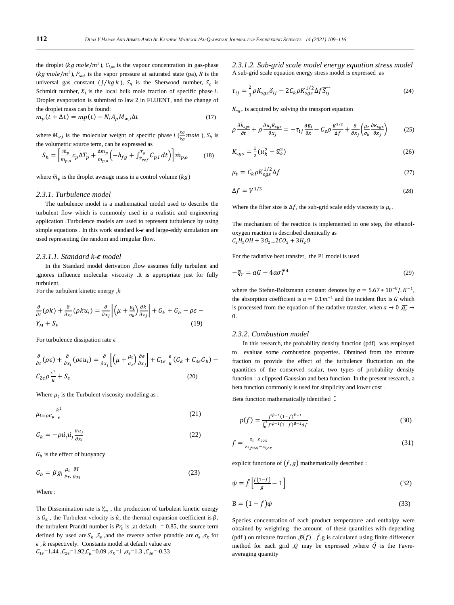the droplet ( $kg \, mole/m^3$ ),  $C_{i, \infty}$  is the vapour concentration in gas-phase ( $kg$  mole/ $m<sup>3</sup>$ ),  $P<sub>sat</sub>$  is the vapor pressure at saturated state (pa), R is the universal gas constant  $(J/kg k)$ ,  $S_h$  is the Sherwood number,  $S_c$  is Schmidt number,  $X_i$  is the local bulk mole fraction of specific phase  $i$ . Droplet evaporation is submited to law 2 in FLUENT, and the change of the droplet mass can be found:

$$
m_p(t + \Delta t) = mp(t) - N_i A_p M_{w,i} \Delta t \tag{17}
$$

where  $M_{w,i}$  is the molecular weight of specific phase i  $\left(\frac{kg}{kq}\right)$  $\frac{\kappa g}{\kappa g}$  mole ),  $S_h$  is the volumetric source term, can be expressed as

$$
S_h = \left[\frac{\bar{m}_p}{m_{p,o}} c_p \Delta T_p + \frac{\Delta m_p}{m_{p,o}} \left(-h_{fg} + \int_{T_{ref}}^{T_p} C_{p,i} dt\right)\right] \dot{m}_{p,o} \tag{18}
$$

where  $\tilde{m}_n$  is the droplet average mass in a control volume (kg)

#### *2.3.1. Turbulence model*

The turbulence model is a mathematical model used to describe the turbulent flow which is commonly used in a realistic and engineering application .Turbulence models are used to represent turbulence by using simple equations . In this work standard  $k - \epsilon$  and large-eddy simulation are used representing the random and irregular flow.

## *2.3.1.1. Standard k- model*

In the Standard model derivation ,flow assumes fully turbulent and ignores influence molecular viscosity .It is appropriate just for fully turbulent.

For the turbulent kinetic energy,  $k$ 

$$
\frac{\partial}{\partial t}(\rho k) + \frac{\partial}{\partial x_i}(\rho k u_i) = \frac{\partial}{\partial x_j} \left[ \left( \mu + \frac{\mu_t}{\sigma_k} \right) \frac{\partial k}{\partial x_j} \right] + G_k + G_b - \rho \epsilon -
$$
\n
$$
Y_M + S_k \tag{19}
$$

For turbulence dissipation rate  $\epsilon$ 

$$
\frac{\partial}{\partial t}(\rho \epsilon) + \frac{\partial}{\partial x_i}(\rho \epsilon u_i) = \frac{\partial}{\partial x_j} \left[ \left( \mu + \frac{\mu_t}{\sigma_{\epsilon}} \right) \frac{\partial \epsilon}{\partial x_j} \right] + C_{1\epsilon} \frac{\epsilon}{k} (G_k + C_{3\epsilon} G_b) - C_{2\epsilon} \rho \frac{\epsilon^2}{k} + S_{\epsilon}
$$
\n(20)

Where  $\mu_t$  is the Turbulent viscosity modeling as :

$$
\mu_{t=\rho C_{\mu}}\frac{k^2}{\epsilon} \tag{21}
$$

$$
G_k = -\rho \overline{\dot{u}_i \dot{u}_j} \frac{\partial u_j}{\partial x_i} \tag{22}
$$

 $G_b$  is the effect of buoyancy

$$
G_b = \beta g_i \frac{\mu_t}{Pr_t} \frac{\partial T}{\partial x_i} \tag{23}
$$

Where :

The Dissemination rate is  $Y_m$ , the production of turbulent kinetic energy is  $G_k$ , the Turbulent velocity is  $\acute{u}$ , the thermal expansion coefficient is  $\beta$ , the turbulent Prandtl number is  $Pr_t$  is ,at default = 0.85, the source term defined by used are  $S_k$ ,  $S_{\epsilon}$ , and the reverse active prandtle are  $\sigma_{\epsilon}$ ,  $\sigma_k$  for  $\epsilon$ , *k* respectively. Constants model at default value are  $C_{1\epsilon}=1.44$ ,  $C_{2\epsilon}=1.92$ ,  $C_{\mu}=0.09$ ,  $\sigma_{k}=1$ ,  $\sigma_{\epsilon}=1.3$ ,  $C_{3\epsilon}=-0.33$ 

*2.3.1.2. Sub-grid scale model energy equation stress model* A sub-grid scale equation energy stress model is expressed as

$$
\tau_{ij} = \frac{2}{3}\rho K_{sgs}\delta_{ij} - 2C_k \rho K_{sgs}^{1/2} \Delta f \overline{S_{ij}}
$$
\n(24)

 $K_{sas}$  is acquired by solving the transport equation

$$
\rho \frac{\partial \bar{k}_{sgs}}{\partial t} + \rho \frac{\partial \bar{u}_j \bar{k}_{sgs}}{\partial x_j} = -\tau_{ij} \frac{\partial \bar{u}_i}{\partial x} - C_{\epsilon} \rho \frac{K^{3/2}}{\Delta f} + \frac{\partial}{\partial x_j} \left( \frac{\mu_t}{\sigma_k} \frac{\partial K_{sgs}}{\partial x_j} \right) \tag{25}
$$

$$
K_{sgs} = \frac{1}{2}(\overline{u_k^2} - \overline{u}_k^2)
$$
 (26)

$$
\mu_t = C_k \rho K_{sgs}^{1/2} \Delta f \tag{27}
$$

$$
\Delta f = V^{1/3} \tag{28}
$$

Where the filter size is  $\Delta f$ , the sub-grid scale eddy viscosity is  $\mu_t$ .

The mechanism of the reaction is implemented in one step, the ethanoloxygen reaction is described chemically as  $C_2H_5OH + 3O_{2} \rightarrow 2CO_2 + 3H_2O$ 

For the radiative heat transfer, the P1 model is used

$$
-\overline{q}_r = aG - 4a\sigma \overline{T}^4 \tag{29}
$$

where the Stefan-Boltzmann constant denotes by  $\sigma = 5.67 * 10^{-8}$ *J*.  $K^{-1}$ , the absorption coefficient is  $a = 0.1m^{-1}$  and the incident flux is G which is processed from the equation of the radative transfer. when  $a \to 0$ ,  $\overline{q_r} \to$ 0.

## *2.3.2. Combustion model*

In this research, the probability density function (pdf) was employed to evaluae some combustion properties. Obtained from the mixture fraction to provide the effect of the turbulence fluctuation on the quantities of the conserved scalar, two types of probability density function : a clippsed Gaussian and beta function. In the present research, a beta function commonly is used for simplicity and lower cost .

Beta function mathematically identified :

$$
p(f) = \frac{f^{\psi - 1} (1 - f)^{B - 1}}{\int_0^1 f^{\psi - 1} (1 - f)^{B - 1} df}
$$
(30)

$$
f = \frac{z_i - z_{i,ox}}{z_{i, fuel} - z_{i,ox}}
$$
(31)

explicit functions of  $(\tilde{f}, g)$  mathematically described :

$$
\psi = \tilde{f}\left[\frac{\tilde{f}(1-\tilde{f})}{g} - 1\right] \tag{32}
$$

$$
B = (1 - \tilde{f})\psi
$$
 (33)

Species concentration of each product temperature and enthalpy were obtained by weighting the amount of these quantities with depending (pdf) on mixture fraction  $\tilde{p}(f)$  .  $\tilde{f}$ ,g is calculated using finite difference method for each grid  $\mathcal{Q}$  may be expressed ,where  $\check{Q}$  is the Favreaveraging quantity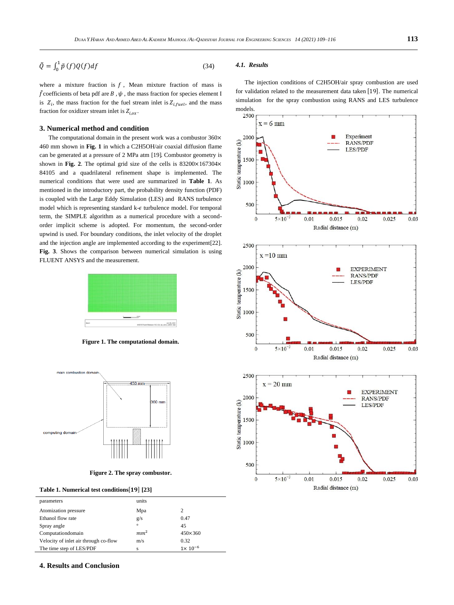$$
\tilde{Q} = \int_0^1 \tilde{p}(f)Q(f)df
$$
\n(34)

where a mixture fraction is  $f$ , Mean mixture fraction of mass is  $\tilde{f}$  coefficients of beta pdf are  $B$  ,  $\psi$  , the mass fraction for species element I is  $Z_i$ , the mass fraction for the fuel stream inlet is  $Z_{i, fuel}$ , and the mass fraction for oxidizer stream inlet is  $Z_{i,ox}$ .

#### **3. Numerical method and condition**

The computational domain in the present work was a combustor  $360 \times$ 460 mm shown in **Fig. 1** in which a C2H5OH/air coaxial diffusion flame can be generated at a pressure of 2 MPa atm [\[19\]](#page-7-13). Combustor geometry is shown in **Fig.** 2. The optimal grid size of the cells is  $83200 \times 167304 \times$ 84105 and a quadrilateral refinement shape is implemented. The numerical conditions that were used are summarized in **Table 1**. As mentioned in the introductory part, the probability density function (PDF) is coupled with the Large Eddy Simulation (LES) and RANS turbulence model which is representing standard  $k-\epsilon$  turbulence model. For temporal term, the SIMPLE algorithm as a numerical procedure with a secondorder implicit scheme is adopted. For momentum, the second-order upwind is used. For boundary conditions, the inlet velocity of the droplet and the injection angle are implemented according to the experiment[\[22\]](#page-7-16). **Fig. 3**. Shows the comparison between numerical simulation is using FLUENT ANSYS and the measurement.



**Figure 1. The computational domain.**



**Figure 2. The spray combustor.**

|  | Table 1. Numerical test conditions[19] [23] |  |  |  |  |
|--|---------------------------------------------|--|--|--|--|
|--|---------------------------------------------|--|--|--|--|

| parameters                            | units           |                  |
|---------------------------------------|-----------------|------------------|
| Atomization pressure                  | Mpa             | 2                |
| Ethanol flow rate                     | g/s             | 0.47             |
| Spray angle                           | $\circ$         | 45               |
| Computationdomain                     | mm <sup>2</sup> | $450\times360$   |
| Velocity of inlet air through co-flow | m/s             | 0.32             |
| The time step of LES/PDF              | s               | $1\times10^{-6}$ |

## *4.1. Results*

The injection conditions of C2H5OH/air spray combustion are used for validation related to the measurement data taken [19]. The numerical simulation for the spray combustion using RANS and LES turbulence







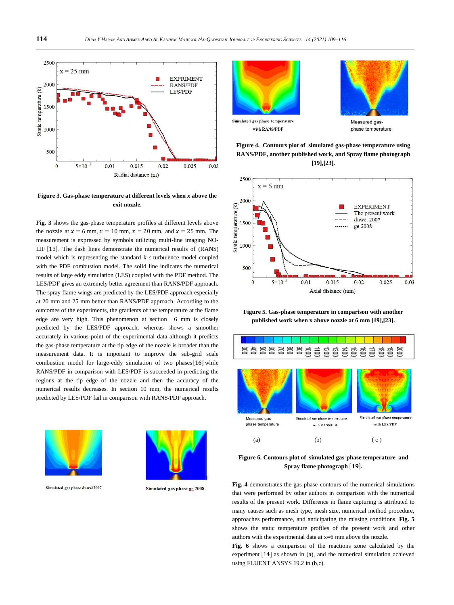

**Figure 3. Gas-phase temperature at different levels when x above the exit nozzle.**

**Fig. 3** shows the gas-phase temperature profiles at different levels above the nozzle at  $x = 6$  mm,  $x = 10$  mm,  $x = 20$  mm, and  $x = 25$  mm. The measurement is expressed by symbols utilizing multi-line imaging NO-LIF [13]. The dash lines demonstrate the numerical results of (RANS) model which is representing the standard  $k-\epsilon$  turbulence model coupled with the PDF combustion model. The solid line indicates the numerical results of large eddy simulation (LES) coupled with the PDF method. The LES/PDF gives an extremely better agreement than RANS/PDF approach. The spray flame wings are predicted by the LES/PDF approach especially at 20 mm and 25 mm better than RANS/PDF approach. According to the outcomes of the experiments, the gradients of the temperature at the flame edge are very high. This phenomenon at section 6 mm is closely predicted by the LES/PDF approach, whereas shows a smoother accurately in various point of the experimental data although it predicts the gas-phase temperature at the tip edge of the nozzle is broader than the measurement data. It is important to improve the sub-grid scale combustion model for large-eddy simulation of two phases [16] while RANS/PDF in comparison with LES/PDF is succeeded in predicting the regions at the tip edge of the nozzle and then the accuracy of the numerical results decreases. In section 10 mm, the numerical results predicted by LES/PDF fail in comparison with RANS/PDF approach.



Simulated gas phase duwel 2007



Simulated gas phase ge 2008





with RANS/PDF

Measured gas phase temperature





**Figure 5. Gas-phase temperature in comparison with another published work when x above nozzle at 6 mm [\[19\]](#page-7-13),[\[23\]](#page-7-17).**



**Figure 6. Contours plot of simulated gas-phase temperature and**  Spray flame photograph [19].

**Fig. 4** demonstrates the gas phase contours of the numerical simulations that were performed by other authors in comparison with the numerical results of the present work. Difference in flame capturing is attributed to many causes such as mesh type, mesh size, numerical method procedure, approaches performance, and anticipating the missing conditions. **Fig. 5** shows the static temperature profiles of the present work and other authors with the experimental data at x=6 mm above the nozzle.

**Fig. 6** shows a comparison of the reactions zone calculated by the experiment [14] as shown in (a), and the numerical simulation achieved using FLUENT ANSYS 19.2 in (b,c).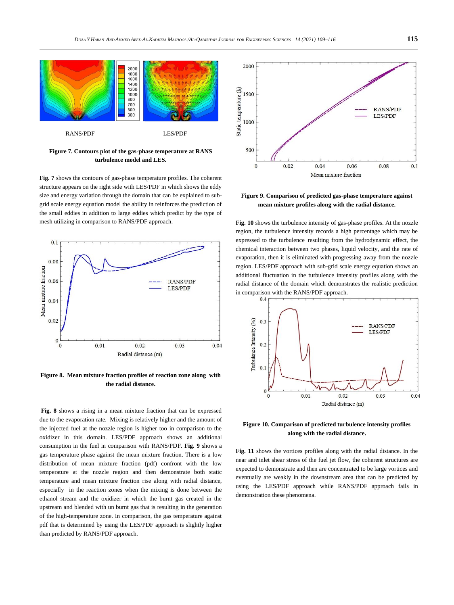

**Figure 7. Contours plot of the gas-phase temperature at RANS turbulence model and LES.**

**Fig. 7** shows the contours of gas-phase temperature profiles. The coherent structure appears on the right side with LES/PDF in which shows the eddy size and energy variation through the domain that can be explained to subgrid scale energy equation model the ability in reinforces the prediction of the small eddies in addition to large eddies which predict by the type of mesh utilizing in comparison to RANS/PDF approach.



**Figure 8. Mean mixture fraction profiles of reaction zone along with the radial distance.**

**Fig. 8** shows a rising in a mean mixture fraction that can be expressed due to the evaporation rate. Mixing is relatively higher and the amount of the injected fuel at the nozzle region is higher too in comparison to the oxidizer in this domain. LES/PDF approach shows an additional consumption in the fuel in comparison with RANS/PDF. **Fig. 9** shows a gas temperature phase against the mean mixture fraction. There is a low distribution of mean mixture fraction (pdf) confront with the low temperature at the nozzle region and then demonstrate both static temperature and mean mixture fraction rise along with radial distance, especially in the reaction zones when the mixing is done between the ethanol stream and the oxidizer in which the burnt gas created in the upstream and blended with un burnt gas that is resulting in the generation of the high-temperature zone. In comparison, the gas temperature against pdf that is determined by using the LES/PDF approach is slightly higher than predicted by RANS/PDF approach.



**Figure 9. Comparison of predicted gas-phase temperature against mean mixture profiles along with the radial distance.**

**Fig. 10** shows the turbulence intensity of gas-phase profiles. At the nozzle region, the turbulence intensity records a high percentage which may be expressed to the turbulence resulting from the hydrodynamic effect, the chemical interaction between two phases, liquid velocity, and the rate of evaporation, then it is eliminated with progressing away from the nozzle region. LES/PDF approach with sub-grid scale energy equation shows an additional fluctuation in the turbulence intensity profiles along with the radial distance of the domain which demonstrates the realistic prediction in comparison with the RANS/PDF approach.



**Figure 10. Comparison of predicted turbulence intensity profiles along with the radial distance.**

**Fig. 11** shows the vortices profiles along with the radial distance. In the near and inlet shear stress of the fuel jet flow, the coherent structures are expected to demonstrate and then are concentrated to be large vortices and eventually are weakly in the downstream area that can be predicted by using the LES/PDF approach while RANS/PDF approach fails in demonstration these phenomena.